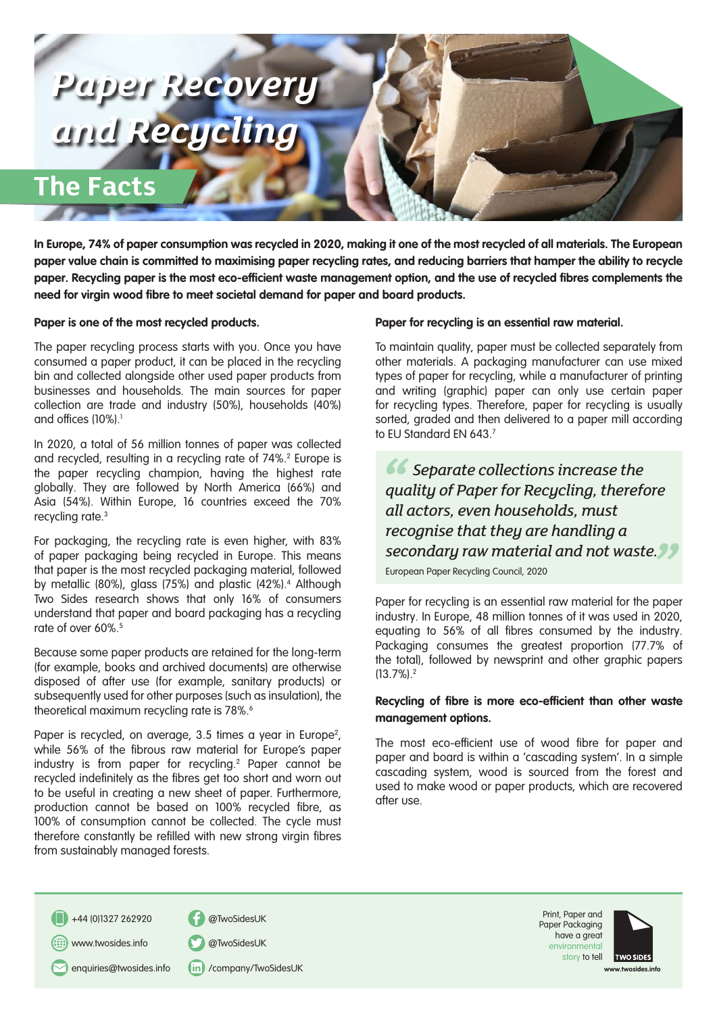

**In Europe, 74% of paper consumption was recycled in 2020, making it one of the most recycled of all materials. The European paper value chain is committed to maximising paper recycling rates, and reducing barriers that hamper the ability to recycle paper. Recycling paper is the most eco-efficient waste management option, and the use of recycled fibres complements the need for virgin wood fibre to meet societal demand for paper and board products.**

## **Paper is one of the most recycled products.**

The paper recycling process starts with you. Once you have consumed a paper product, it can be placed in the recycling bin and collected alongside other used paper products from businesses and households. The main sources for paper collection are trade and industry (50%), households (40%) and offices (10%).1

In 2020, a total of 56 million tonnes of paper was collected and recycled, resulting in a recycling rate of 74%.<sup>2</sup> Europe is the paper recycling champion, having the highest rate globally. They are followed by North America (66%) and Asia (54%). Within Europe, 16 countries exceed the 70% recycling rate.3

For packaging, the recycling rate is even higher, with 83% of paper packaging being recycled in Europe. This means that paper is the most recycled packaging material, followed by metallic (80%), glass (75%) and plastic (42%).<sup>4</sup> Although Two Sides research shows that only 16% of consumers understand that paper and board packaging has a recycling rate of over 60%.<sup>5</sup>

Because some paper products are retained for the long-term (for example, books and archived documents) are otherwise disposed of after use (for example, sanitary products) or subsequently used for other purposes (such as insulation), the theoretical maximum recycling rate is 78%.<sup>6</sup>

Paper is recycled, on average, 3.5 times a year in Europe<sup>2</sup>, while 56% of the fibrous raw material for Europe's paper industry is from paper for recycling.2 Paper cannot be recycled indefinitely as the fibres get too short and worn out to be useful in creating a new sheet of paper. Furthermore, production cannot be based on 100% recycled fibre, as 100% of consumption cannot be collected. The cycle must therefore constantly be refilled with new strong virgin fibres from sustainably managed forests.

#### **Paper for recycling is an essential raw material.**

To maintain quality, paper must be collected separately from other materials. A packaging manufacturer can use mixed types of paper for recycling, while a manufacturer of printing and writing (graphic) paper can only use certain paper for recycling types. Therefore, paper for recycling is usually sorted, graded and then delivered to a paper mill according to EU Standard EN 643.7

*"* **Secondary raw material and not waste.**<br> **European Paper Recycling Council, 2020**<br> **European Paper Recycling Council, 2020**  *Separate collections increase the quality of Paper for Recycling, therefore all actors, even households, must recognise that they are handling a* 

European Paper Recycling Council, 2020

Paper for recycling is an essential raw material for the paper industry. In Europe, 48 million tonnes of it was used in 2020, equating to 56% of all fibres consumed by the industry. Packaging consumes the greatest proportion (77.7% of the total), followed by newsprint and other graphic papers (13.7%).2

## **Recycling of fibre is more eco-efficient than other waste management options.**

The most eco-efficient use of wood fibre for paper and paper and board is within a 'cascading system'. In a simple cascading system, wood is sourced from the forest and used to make wood or paper products, which are recovered after use.

+44 (0)1327 262920 @TwoSidesUK

www.twosides.info @TwoSidesUK

enquiries@twosides.info (in) /company/TwoSidesUK





**www.twosides.info**